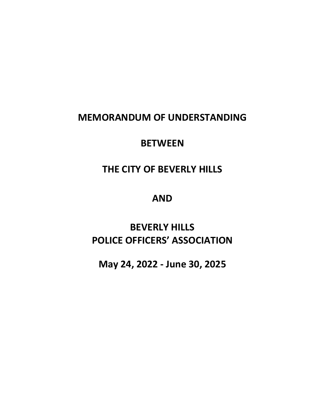# **MEMORANDUM OF UNDERSTANDING**

# **BETWEEN**

# **THE CITY OF BEVERLY HILLS**

# **AND**

# **BEVERLY HILLS POLICE OFFICERS' ASSOCIATION**

**May 24, 2022 - June 30, 2025**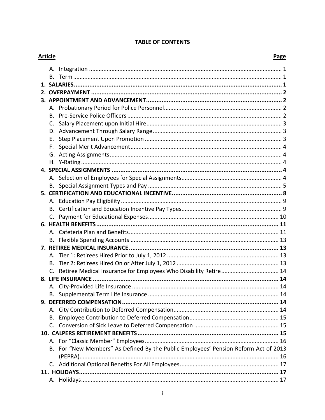# **TABLE OF CONTENTS**

| <b>Article</b> |    |                                                                                     | Page |
|----------------|----|-------------------------------------------------------------------------------------|------|
|                | Α. |                                                                                     |      |
|                |    |                                                                                     |      |
|                |    |                                                                                     |      |
|                |    |                                                                                     |      |
|                |    |                                                                                     |      |
|                |    |                                                                                     |      |
|                | В. |                                                                                     |      |
|                | C. |                                                                                     |      |
|                |    |                                                                                     |      |
|                | Е. |                                                                                     |      |
|                | F. |                                                                                     |      |
|                |    |                                                                                     |      |
|                |    |                                                                                     |      |
|                |    |                                                                                     |      |
|                |    |                                                                                     |      |
|                |    |                                                                                     |      |
|                |    |                                                                                     |      |
|                |    |                                                                                     |      |
|                |    |                                                                                     |      |
|                |    |                                                                                     |      |
|                |    |                                                                                     |      |
|                |    |                                                                                     |      |
|                | В. |                                                                                     |      |
|                |    |                                                                                     |      |
|                |    |                                                                                     |      |
|                | В. |                                                                                     |      |
|                |    |                                                                                     |      |
|                |    |                                                                                     |      |
|                |    |                                                                                     |      |
|                |    |                                                                                     |      |
|                |    |                                                                                     |      |
|                | А. |                                                                                     |      |
|                | В. |                                                                                     |      |
|                |    |                                                                                     |      |
|                |    |                                                                                     |      |
|                |    |                                                                                     |      |
|                |    | B. For "New Members" As Defined By the Public Employees' Pension Reform Act of 2013 |      |
|                |    |                                                                                     |      |
|                |    |                                                                                     |      |
|                |    |                                                                                     |      |
|                |    |                                                                                     |      |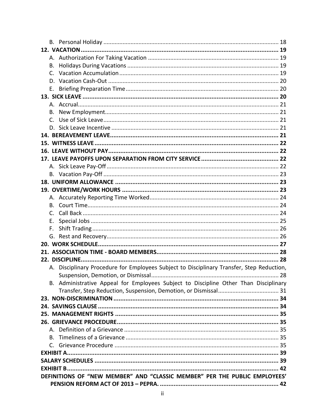| В. |                                                                                           |  |
|----|-------------------------------------------------------------------------------------------|--|
|    |                                                                                           |  |
|    |                                                                                           |  |
| Е. |                                                                                           |  |
|    |                                                                                           |  |
|    |                                                                                           |  |
|    |                                                                                           |  |
| C. |                                                                                           |  |
|    |                                                                                           |  |
|    |                                                                                           |  |
|    |                                                                                           |  |
|    |                                                                                           |  |
|    |                                                                                           |  |
|    |                                                                                           |  |
|    |                                                                                           |  |
|    |                                                                                           |  |
|    |                                                                                           |  |
|    |                                                                                           |  |
|    |                                                                                           |  |
|    |                                                                                           |  |
| Е. |                                                                                           |  |
| F. |                                                                                           |  |
|    |                                                                                           |  |
|    |                                                                                           |  |
|    |                                                                                           |  |
|    |                                                                                           |  |
|    | A. Disciplinary Procedure for Employees Subject to Disciplinary Transfer, Step Reduction, |  |
|    |                                                                                           |  |
|    | B. Administrative Appeal for Employees Subject to Discipline Other Than Disciplinary      |  |
|    |                                                                                           |  |
|    |                                                                                           |  |
|    |                                                                                           |  |
|    |                                                                                           |  |
|    |                                                                                           |  |
|    |                                                                                           |  |
|    |                                                                                           |  |
|    |                                                                                           |  |
|    |                                                                                           |  |
|    |                                                                                           |  |
|    | DEFINITIONS OF "NEW MEMBER" AND "CLASSIC MEMBER" PER THE PUBLIC EMPLOYEES'                |  |
|    |                                                                                           |  |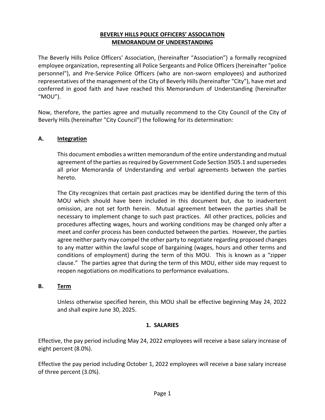## **BEVERLY HILLS POLICE OFFICERS' ASSOCIATION MEMORANDUM OF UNDERSTANDING**

The Beverly Hills Police Officers' Association, (hereinafter "Association") a formally recognized employee organization, representing all Police Sergeants and Police Officers (hereinafter "police personnel"), and Pre-Service Police Officers (who are non-sworn employees) and authorized representatives of the management of the City of Beverly Hills (hereinafter "City"), have met and conferred in good faith and have reached this Memorandum of Understanding (hereinafter "MOU").

Now, therefore, the parties agree and mutually recommend to the City Council of the City of Beverly Hills (hereinafter "City Council") the following for its determination:

# <span id="page-4-0"></span>**A. Integration**

This document embodies a written memorandum of the entire understanding and mutual agreement of the parties as required by Government Code Section 3505.1 and supersedes all prior Memoranda of Understanding and verbal agreements between the parties hereto.

The City recognizes that certain past practices may be identified during the term of this MOU which should have been included in this document but, due to inadvertent omission, are not set forth herein. Mutual agreement between the parties shall be necessary to implement change to such past practices. All other practices, policies and procedures affecting wages, hours and working conditions may be changed only after a meet and confer process has been conducted between the parties. However, the parties agree neither party may compel the other party to negotiate regarding proposed changes to any matter within the lawful scope of bargaining (wages, hours and other terms and conditions of employment) during the term of this MOU. This is known as a "zipper clause." The parties agree that during the term of this MOU, either side may request to reopen negotiations on modifications to performance evaluations.

## <span id="page-4-1"></span>**B. Term**

Unless otherwise specified herein, this MOU shall be effective beginning May 24, 2022 and shall expire June 30, 2025.

## **1. SALARIES**

<span id="page-4-2"></span>Effective, the pay period including May 24, 2022 employees will receive a base salary increase of eight percent (8.0%).

Effective the pay period including October 1, 2022 employees will receive a base salary increase of three percent (3.0%).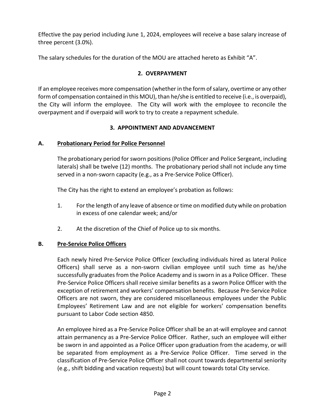Effective the pay period including June 1, 2024, employees will receive a base salary increase of three percent (3.0%).

<span id="page-5-0"></span>The salary schedules for the duration of the MOU are attached hereto as Exhibit "A".

## **2. OVERPAYMENT**

If an employee receives more compensation (whether in the form of salary, overtime or any other form of compensation contained in this MOU), than he/she is entitled to receive (i.e., is overpaid), the City will inform the employee. The City will work with the employee to reconcile the overpayment and if overpaid will work to try to create a repayment schedule.

# **3. APPOINTMENT AND ADVANCEMENT**

# <span id="page-5-2"></span><span id="page-5-1"></span>**A. Probationary Period for Police Personnel**

The probationary period for sworn positions (Police Officer and Police Sergeant, including laterals) shall be twelve (12) months. The probationary period shall not include any time served in a non-sworn capacity (e.g., as a Pre-Service Police Officer).

The City has the right to extend an employee's probation as follows:

- 1. For the length of any leave of absence or time on modified duty while on probation in excess of one calendar week; and/or
- 2. At the discretion of the Chief of Police up to six months.

# <span id="page-5-3"></span>**B. Pre-Service Police Officers**

Each newly hired Pre-Service Police Officer (excluding individuals hired as lateral Police Officers) shall serve as a non-sworn civilian employee until such time as he/she successfully graduates from the Police Academy and is sworn in as a Police Officer. These Pre-Service Police Officers shall receive similar benefits as a sworn Police Officer with the exception of retirement and workers' compensation benefits. Because Pre-Service Police Officers are not sworn, they are considered miscellaneous employees under the Public Employees' Retirement Law and are not eligible for workers' compensation benefits pursuant to Labor Code section 4850.

An employee hired as a Pre-Service Police Officer shall be an at-will employee and cannot attain permanency as a Pre-Service Police Officer. Rather, such an employee will either be sworn in and appointed as a Police Officer upon graduation from the academy, or will be separated from employment as a Pre-Service Police Officer. Time served in the classification of Pre-Service Police Officer shall not count towards departmental seniority (e.g., shift bidding and vacation requests) but will count towards total City service.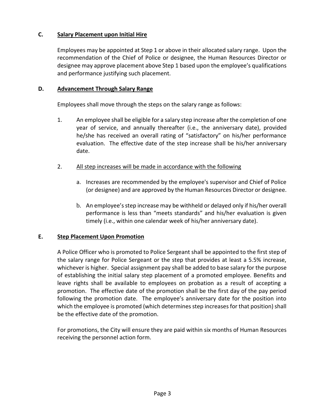# <span id="page-6-0"></span>**C. Salary Placement upon Initial Hire**

Employees may be appointed at Step 1 or above in their allocated salary range. Upon the recommendation of the Chief of Police or designee, the Human Resources Director or designee may approve placement above Step 1 based upon the employee's qualifications and performance justifying such placement.

#### <span id="page-6-1"></span>**D. Advancement Through Salary Range**

Employees shall move through the steps on the salary range as follows:

- 1. An employee shall be eligible for a salary step increase after the completion of one year of service, and annually thereafter (i.e., the anniversary date), provided he/she has received an overall rating of "satisfactory" on his/her performance evaluation. The effective date of the step increase shall be his/her anniversary date.
- 2. All step increases will be made in accordance with the following
	- a. Increases are recommended by the employee's supervisor and Chief of Police (or designee) and are approved by the Human Resources Director or designee.
	- b. An employee's step increase may be withheld or delayed only if his/her overall performance is less than "meets standards" and his/her evaluation is given timely (i.e., within one calendar week of his/her anniversary date).

#### <span id="page-6-2"></span>**E. Step Placement Upon Promotion**

A Police Officer who is promoted to Police Sergeant shall be appointed to the first step of the salary range for Police Sergeant or the step that provides at least a 5.5% increase, whichever is higher. Special assignment pay shall be added to base salary for the purpose of establishing the initial salary step placement of a promoted employee. Benefits and leave rights shall be available to employees on probation as a result of accepting a promotion. The effective date of the promotion shall be the first day of the pay period following the promotion date. The employee's anniversary date for the position into which the employee is promoted (which determines step increases for that position) shall be the effective date of the promotion.

For promotions, the City will ensure they are paid within six months of Human Resources receiving the personnel action form.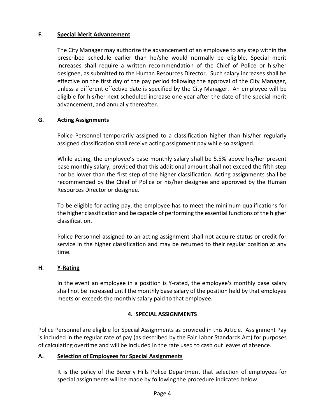## <span id="page-7-0"></span>**F. Special Merit Advancement**

The City Manager may authorize the advancement of an employee to any step within the prescribed schedule earlier than he/she would normally be eligible. Special merit increases shall require a written recommendation of the Chief of Police or his/her designee, as submitted to the Human Resources Director. Such salary increases shall be effective on the first day of the pay period following the approval of the City Manager, unless a different effective date is specified by the City Manager. An employee will be eligible for his/her next scheduled increase one year after the date of the special merit advancement, and annually thereafter.

## <span id="page-7-1"></span>**G. Acting Assignments**

Police Personnel temporarily assigned to a classification higher than his/her regularly assigned classification shall receive acting assignment pay while so assigned.

While acting, the employee's base monthly salary shall be 5.5% above his/her present base monthly salary, provided that this additional amount shall not exceed the fifth step nor be lower than the first step of the higher classification. Acting assignments shall be recommended by the Chief of Police or his/her designee and approved by the Human Resources Director or designee.

To be eligible for acting pay, the employee has to meet the minimum qualifications for the higher classification and be capable of performing the essential functions of the higher classification.

Police Personnel assigned to an acting assignment shall not acquire status or credit for service in the higher classification and may be returned to their regular position at any time.

#### <span id="page-7-2"></span>**H. Y-Rating**

In the event an employee in a position is Y-rated, the employee's monthly base salary shall not be increased until the monthly base salary of the position held by that employee meets or exceeds the monthly salary paid to that employee.

## **4. SPECIAL ASSIGNMENTS**

<span id="page-7-3"></span>Police Personnel are eligible for Special Assignments as provided in this Article. Assignment Pay is included in the regular rate of pay (as described by the Fair Labor Standards Act) for purposes of calculating overtime and will be included in the rate used to cash out leaves of absence.

#### <span id="page-7-4"></span>**A. Selection of Employees for Special Assignments**

It is the policy of the Beverly Hills Police Department that selection of employees for special assignments will be made by following the procedure indicated below.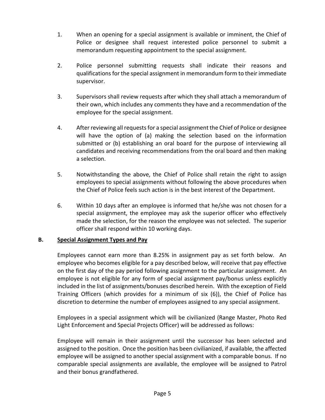- 1. When an opening for a special assignment is available or imminent, the Chief of Police or designee shall request interested police personnel to submit a memorandum requesting appointment to the special assignment.
- 2. Police personnel submitting requests shall indicate their reasons and qualifications for the special assignment in memorandum form to their immediate supervisor.
- 3. Supervisors shall review requests after which they shall attach a memorandum of their own, which includes any comments they have and a recommendation of the employee for the special assignment.
- 4. After reviewing all requests for a special assignment the Chief of Police or designee will have the option of (a) making the selection based on the information submitted or (b) establishing an oral board for the purpose of interviewing all candidates and receiving recommendations from the oral board and then making a selection.
- 5. Notwithstanding the above, the Chief of Police shall retain the right to assign employees to special assignments without following the above procedures when the Chief of Police feels such action is in the best interest of the Department.
- 6. Within 10 days after an employee is informed that he/she was not chosen for a special assignment, the employee may ask the superior officer who effectively made the selection, for the reason the employee was not selected. The superior officer shall respond within 10 working days.

## <span id="page-8-0"></span>**B. Special Assignment Types and Pay**

Employees cannot earn more than 8.25% in assignment pay as set forth below. An employee who becomes eligible for a pay described below, will receive that pay effective on the first day of the pay period following assignment to the particular assignment. An employee is not eligible for any form of special assignment pay/bonus unless explicitly included in the list of assignments/bonuses described herein. With the exception of Field Training Officers (which provides for a minimum of six (6)), the Chief of Police has discretion to determine the number of employees assigned to any special assignment.

Employees in a special assignment which will be civilianized (Range Master, Photo Red Light Enforcement and Special Projects Officer) will be addressed as follows:

Employee will remain in their assignment until the successor has been selected and assigned to the position. Once the position has been civilianized, if available, the affected employee will be assigned to another special assignment with a comparable bonus. If no comparable special assignments are available, the employee will be assigned to Patrol and their bonus grandfathered.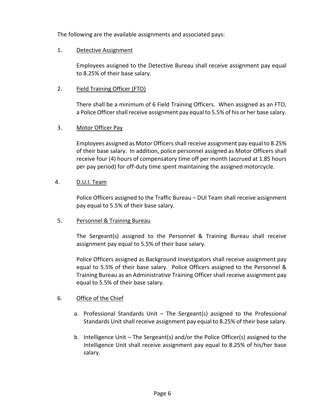The following are the available assignments and associated pays:

## 1. Detective Assignment

Employees assigned to the Detective Bureau shall receive assignment pay equal to 8.25% of their base salary.

# 2. Field Training Officer (FTO)

There shall be a minimum of 6 Field Training Officers. When assigned as an FTO, a Police Officer shall receive assignment pay equal to 5.5% of his or her base salary.

# 3. Motor Officer Pay

Employees assigned as Motor Officers shall receive assignment pay equal to 8.25% of their base salary. In addition, police personnel assigned as Motor Officers shall receive four (4) hours of compensatory time off per month (accrued at 1.85 hours per pay period) for off-duty time spent maintaining the assigned motorcycle.

# 4. D.U.I. Team

Police Officers assigned to the Traffic Bureau – DUI Team shall receive assignment pay equal to 5.5% of their base salary.

## 5. Personnel & Training Bureau

The Sergeant(s) assigned to the Personnel & Training Bureau shall receive assignment pay equal to 5.5% of their base salary.

Police Officers assigned as Background Investigators shall receive assignment pay equal to 5.5% of their base salary. Police Officers assigned to the Personnel & Training Bureau as an Administrative Training Officer shall receive assignment pay equal to 5.5% of their base salary.

## 6. Office of the Chief

- a. Professional Standards Unit The Sergeant(s) assigned to the Professional Standards Unit shall receive assignment pay equal to 8.25% of their base salary.
- b. Intelligence Unit The Sergeant(s) and/or the Police Officer(s) assigned to the Intelligence Unit shall receive assignment pay equal to 8.25% of his/her base salary.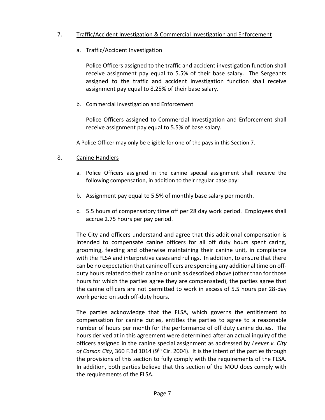# 7. Traffic/Accident Investigation & Commercial Investigation and Enforcement

## a. Traffic/Accident Investigation

Police Officers assigned to the traffic and accident investigation function shall receive assignment pay equal to 5.5% of their base salary. The Sergeants assigned to the traffic and accident investigation function shall receive assignment pay equal to 8.25% of their base salary.

## b. Commercial Investigation and Enforcement

Police Officers assigned to Commercial Investigation and Enforcement shall receive assignment pay equal to 5.5% of base salary.

A Police Officer may only be eligible for one of the pays in this Section 7.

# 8. Canine Handlers

- a. Police Officers assigned in the canine special assignment shall receive the following compensation, in addition to their regular base pay:
- b. Assignment pay equal to 5.5% of monthly base salary per month.
- c. 5.5 hours of compensatory time off per 28 day work period. Employees shall accrue 2.75 hours per pay period.

The City and officers understand and agree that this additional compensation is intended to compensate canine officers for all off duty hours spent caring, grooming, feeding and otherwise maintaining their canine unit, in compliance with the FLSA and interpretive cases and rulings. In addition, to ensure that there can be no expectation that canine officers are spending any additional time on offduty hours related to their canine or unit as described above (other than for those hours for which the parties agree they are compensated), the parties agree that the canine officers are not permitted to work in excess of 5.5 hours per 28-day work period on such off-duty hours.

The parties acknowledge that the FLSA, which governs the entitlement to compensation for canine duties, entitles the parties to agree to a reasonable number of hours per month for the performance of off duty canine duties. The hours derived at in this agreement were determined after an actual inquiry of the officers assigned in the canine special assignment as addressed by *Leever v. City*  of Carson City, 360 F.3d 1014 (9<sup>th</sup> Cir. 2004). It is the intent of the parties through the provisions of this section to fully comply with the requirements of the FLSA. In addition, both parties believe that this section of the MOU does comply with the requirements of the FLSA.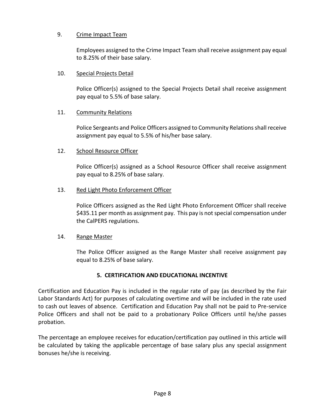# 9. Crime Impact Team

Employees assigned to the Crime Impact Team shall receive assignment pay equal to 8.25% of their base salary.

#### 10. Special Projects Detail

Police Officer(s) assigned to the Special Projects Detail shall receive assignment pay equal to 5.5% of base salary.

## 11. Community Relations

Police Sergeants and Police Officers assigned to Community Relations shall receive assignment pay equal to 5.5% of his/her base salary.

## 12. School Resource Officer

Police Officer(s) assigned as a School Resource Officer shall receive assignment pay equal to 8.25% of base salary.

#### 13. Red Light Photo Enforcement Officer

Police Officers assigned as the Red Light Photo Enforcement Officer shall receive \$435.11 per month as assignment pay. This pay is not special compensation under the CalPERS regulations.

#### 14. Range Master

The Police Officer assigned as the Range Master shall receive assignment pay equal to 8.25% of base salary.

## **5. CERTIFICATION AND EDUCATIONAL INCENTIVE**

<span id="page-11-0"></span>Certification and Education Pay is included in the regular rate of pay (as described by the Fair Labor Standards Act) for purposes of calculating overtime and will be included in the rate used to cash out leaves of absence. Certification and Education Pay shall not be paid to Pre-service Police Officers and shall not be paid to a probationary Police Officers until he/she passes probation.

The percentage an employee receives for education/certification pay outlined in this article will be calculated by taking the applicable percentage of base salary plus any special assignment bonuses he/she is receiving.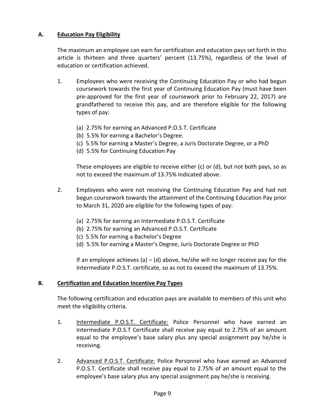# <span id="page-12-0"></span>**A. Education Pay Eligibility**

The maximum an employee can earn for certification and education pays set forth in this article is thirteen and three quarters' percent (13.75%), regardless of the level of education or certification achieved.

- 1. Employees who were receiving the Continuing Education Pay or who had begun coursework towards the first year of Continuing Education Pay (must have been pre-approved for the first year of coursework prior to February 22, 2017) are grandfathered to receive this pay, and are therefore eligible for the following types of pay:
	- (a) 2.75% for earning an Advanced P.O.S.T. Certificate
	- (b) 5.5% for earning a Bachelor's Degree.
	- (c) 5.5% for earning a Master's Degree, a Juris Doctorate Degree, or a PhD
	- (d) 5.5% for Continuing Education Pay

These employees are eligible to receive either (c) or (d), but not both pays, so as not to exceed the maximum of 13.75% indicated above.

- 2. Employees who were not receiving the Continuing Education Pay and had not begun coursework towards the attainment of the Continuing Education Pay prior to March 31, 2020 are eligible for the following types of pay:
	- (a) 2.75% for earning an Intermediate P.O.S.T. Certificate
	- (b) 2.75% for earning an Advanced P.O.S.T. Certificate
	- (c) 5.5% for earning a Bachelor's Degree
	- (d) 5.5% for earning a Master's Degree, Juris Doctorate Degree or PhD

If an employee achieves (a)  $-$  (d) above, he/she will no longer receive pay for the Intermediate P.O.S.T. certificate, so as not to exceed the maximum of 13.75%.

## <span id="page-12-1"></span>**B. Certification and Education Incentive Pay Types**

The following certification and education pays are available to members of this unit who meet the eligibility criteria.

- 1. Intermediate P.O.S.T. Certificate: Police Personnel who have earned an Intermediate P.O.S.T Certificate shall receive pay equal to 2.75% of an amount equal to the employee's base salary plus any special assignment pay he/she is receiving.
- 2. Advanced P.O.S.T. Certificate: Police Personnel who have earned an Advanced P.O.S.T. Certificate shall receive pay equal to 2.75% of an amount equal to the employee's base salary plus any special assignment pay he/she is receiving.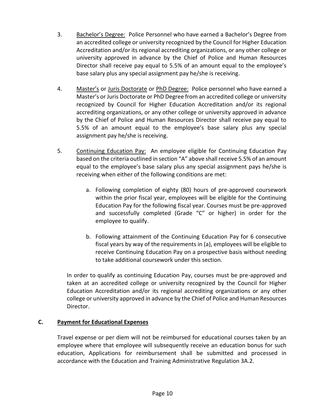- 3. Bachelor's Degree: Police Personnel who have earned a Bachelor's Degree from an accredited college or university recognized by the Council for Higher Education Accreditation and/or its regional accrediting organizations, or any other college or university approved in advance by the Chief of Police and Human Resources Director shall receive pay equal to 5.5% of an amount equal to the employee's base salary plus any special assignment pay he/she is receiving.
- 4. Master's or Juris Doctorate or PhD Degree: Police personnel who have earned a Master's or Juris Doctorate or PhD Degree from an accredited college or university recognized by Council for Higher Education Accreditation and/or its regional accrediting organizations, or any other college or university approved in advance by the Chief of Police and Human Resources Director shall receive pay equal to 5.5% of an amount equal to the employee's base salary plus any special assignment pay he/she is receiving.
- 5. Continuing Education Pay: An employee eligible for Continuing Education Pay based on the criteria outlined in section "A" above shall receive 5.5% of an amount equal to the employee's base salary plus any special assignment pays he/she is receiving when either of the following conditions are met:
	- a. Following completion of eighty (80) hours of pre-approved coursework within the prior fiscal year, employees will be eligible for the Continuing Education Pay for the following fiscal year. Courses must be pre-approved and successfully completed (Grade "C" or higher) in order for the employee to qualify.
	- b. Following attainment of the Continuing Education Pay for 6 consecutive fiscal years by way of the requirements in (a), employees will be eligible to receive Continuing Education Pay on a prospective basis without needing to take additional coursework under this section.

In order to qualify as continuing Education Pay, courses must be pre-approved and taken at an accredited college or university recognized by the Council for Higher Education Accreditation and/or its regional accrediting organizations or any other college or university approved in advance by the Chief of Police and Human Resources Director.

## <span id="page-13-0"></span>**C. Payment for Educational Expenses**

Travel expense or per diem will not be reimbursed for educational courses taken by an employee where that employee will subsequently receive an education bonus for such education, Applications for reimbursement shall be submitted and processed in accordance with the Education and Training Administrative Regulation 3A.2.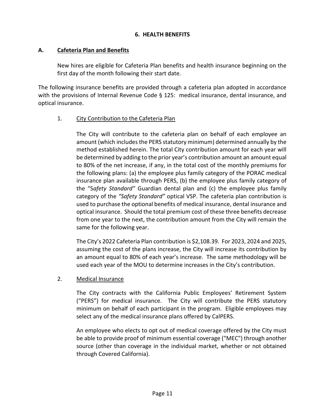#### **6. HEALTH BENEFITS**

#### <span id="page-14-1"></span><span id="page-14-0"></span>**A. Cafeteria Plan and Benefits**

New hires are eligible for Cafeteria Plan benefits and health insurance beginning on the first day of the month following their start date.

The following insurance benefits are provided through a cafeteria plan adopted in accordance with the provisions of Internal Revenue Code § 125: medical insurance, dental insurance, and optical insurance.

## 1. City Contribution to the Cafeteria Plan

The City will contribute to the cafeteria plan on behalf of each employee an amount (which includes the PERS statutory minimum) determined annually by the method established herein. The total City contribution amount for each year will be determined by adding to the prior year's contribution amount an amount equal to 80% of the net increase, if any, in the total cost of the monthly premiums for the following plans: (a) the employee plus family category of the PORAC medical insurance plan available through PERS, (b) the employee plus family category of the "S*afety Standard"* Guardian dental plan and (c) the employee plus family category of the *"Safety Standard"* optical VSP. The cafeteria plan contribution is used to purchase the optional benefits of medical insurance, dental insurance and optical insurance. Should the total premium cost of these three benefits decrease from one year to the next, the contribution amount from the City will remain the same for the following year.

The City's 2022 Cafeteria Plan contribution is \$2,108.39. For 2023, 2024 and 2025, assuming the cost of the plans increase, the City will increase its contribution by an amount equal to 80% of each year's increase. The same methodology will be used each year of the MOU to determine increases in the City's contribution.

#### 2. Medical Insurance

The City contracts with the California Public Employees' Retirement System ("PERS") for medical insurance. The City will contribute the PERS statutory minimum on behalf of each participant in the program. Eligible employees may select any of the medical insurance plans offered by CalPERS.

An employee who elects to opt out of medical coverage offered by the City must be able to provide proof of minimum essential coverage ("MEC") through another source (other than coverage in the individual market, whether or not obtained through Covered California).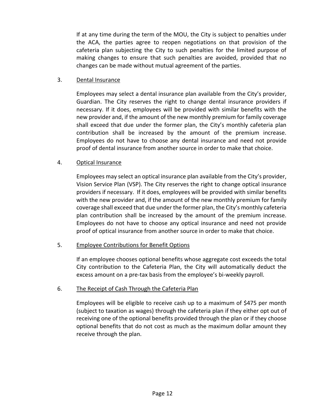If at any time during the term of the MOU, the City is subject to penalties under the ACA, the parties agree to reopen negotiations on that provision of the cafeteria plan subjecting the City to such penalties for the limited purpose of making changes to ensure that such penalties are avoided, provided that no changes can be made without mutual agreement of the parties.

#### 3. Dental Insurance

Employees may select a dental insurance plan available from the City's provider, Guardian. The City reserves the right to change dental insurance providers if necessary. If it does, employees will be provided with similar benefits with the new provider and, if the amount of the new monthly premium for family coverage shall exceed that due under the former plan, the City's monthly cafeteria plan contribution shall be increased by the amount of the premium increase. Employees do not have to choose any dental insurance and need not provide proof of dental insurance from another source in order to make that choice.

## 4. Optical Insurance

Employees may select an optical insurance plan available from the City's provider, Vision Service Plan (VSP). The City reserves the right to change optical insurance providers if necessary. If it does, employees will be provided with similar benefits with the new provider and, if the amount of the new monthly premium for family coverage shall exceed that due under the former plan, the City's monthly cafeteria plan contribution shall be increased by the amount of the premium increase. Employees do not have to choose any optical insurance and need not provide proof of optical insurance from another source in order to make that choice.

## 5. Employee Contributions for Benefit Options

If an employee chooses optional benefits whose aggregate cost exceeds the total City contribution to the Cafeteria Plan, the City will automatically deduct the excess amount on a pre-tax basis from the employee's bi-weekly payroll.

## 6. The Receipt of Cash Through the Cafeteria Plan

Employees will be eligible to receive cash up to a maximum of \$475 per month (subject to taxation as wages) through the cafeteria plan if they either opt out of receiving one of the optional benefits provided through the plan or if they choose optional benefits that do not cost as much as the maximum dollar amount they receive through the plan.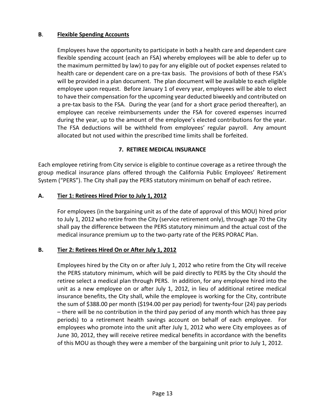# <span id="page-16-0"></span>**B**. **Flexible Spending Accounts**

Employees have the opportunity to participate in both a health care and dependent care flexible spending account (each an FSA) whereby employees will be able to defer up to the maximum permitted by law) to pay for any eligible out of pocket expenses related to health care or dependent care on a pre-tax basis. The provisions of both of these FSA's will be provided in a plan document. The plan document will be available to each eligible employee upon request. Before January 1 of every year, employees will be able to elect to have their compensation for the upcoming year deducted biweekly and contributed on a pre-tax basis to the FSA. During the year (and for a short grace period thereafter), an employee can receive reimbursements under the FSA for covered expenses incurred during the year, up to the amount of the employee's elected contributions for the year. The FSA deductions will be withheld from employees' regular payroll. Any amount allocated but not used within the prescribed time limits shall be forfeited.

## **7. RETIREE MEDICAL INSURANCE**

<span id="page-16-1"></span>Each employee retiring from City service is eligible to continue coverage as a retiree through the group medical insurance plans offered through the California Public Employees' Retirement System ("PERS"). The City shall pay the PERS statutory minimum on behalf of each retiree**.** 

## <span id="page-16-2"></span>**A. Tier 1: Retirees Hired Prior to July 1, 2012**

For employees (in the bargaining unit as of the date of approval of this MOU) hired prior to July 1, 2012 who retire from the City (service retirement only), through age 70 the City shall pay the difference between the PERS statutory minimum and the actual cost of the medical insurance premium up to the two-party rate of the PERS PORAC Plan.

## <span id="page-16-3"></span>**B. Tier 2: Retirees Hired On or After July 1, 2012**

Employees hired by the City on or after July 1, 2012 who retire from the City will receive the PERS statutory minimum, which will be paid directly to PERS by the City should the retiree select a medical plan through PERS. In addition, for any employee hired into the unit as a new employee on or after July 1, 2012, in lieu of additional retiree medical insurance benefits, the City shall, while the employee is working for the City, contribute the sum of \$388.00 per month (\$194.00 per pay period) for twenty-four (24) pay periods – there will be no contribution in the third pay period of any month which has three pay periods) to a retirement health savings account on behalf of each employee. For employees who promote into the unit after July 1, 2012 who were City employees as of June 30, 2012, they will receive retiree medical benefits in accordance with the benefits of this MOU as though they were a member of the bargaining unit prior to July 1, 2012.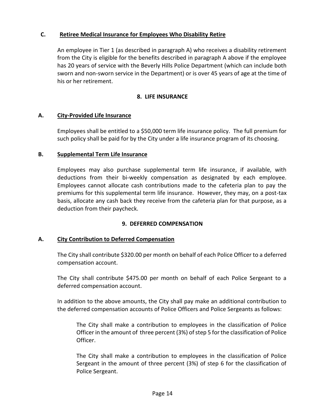## <span id="page-17-0"></span>**C. Retiree Medical Insurance for Employees Who Disability Retire**

An employee in Tier 1 (as described in paragraph A) who receives a disability retirement from the City is eligible for the benefits described in paragraph A above if the employee has 20 years of service with the Beverly Hills Police Department (which can include both sworn and non-sworn service in the Department) or is over 45 years of age at the time of his or her retirement.

## **8. LIFE INSURANCE**

# <span id="page-17-2"></span><span id="page-17-1"></span>**A. City-Provided Life Insurance**

Employees shall be entitled to a \$50,000 term life insurance policy. The full premium for such policy shall be paid for by the City under a life insurance program of its choosing.

## <span id="page-17-3"></span>**B. Supplemental Term Life Insurance**

Employees may also purchase supplemental term life insurance, if available, with deductions from their bi-weekly compensation as designated by each employee. Employees cannot allocate cash contributions made to the cafeteria plan to pay the premiums for this supplemental term life insurance. However, they may, on a post-tax basis, allocate any cash back they receive from the cafeteria plan for that purpose, as a deduction from their paycheck.

## **9. DEFERRED COMPENSATION**

## <span id="page-17-5"></span><span id="page-17-4"></span>**A. City Contribution to Deferred Compensation**

The City shall contribute \$320.00 per month on behalf of each Police Officer to a deferred compensation account.

The City shall contribute \$475.00 per month on behalf of each Police Sergeant to a deferred compensation account.

In addition to the above amounts, the City shall pay make an additional contribution to the deferred compensation accounts of Police Officers and Police Sergeants as follows:

The City shall make a contribution to employees in the classification of Police Officer in the amount of three percent (3%) of step 5 for the classification of Police Officer.

The City shall make a contribution to employees in the classification of Police Sergeant in the amount of three percent (3%) of step 6 for the classification of Police Sergeant.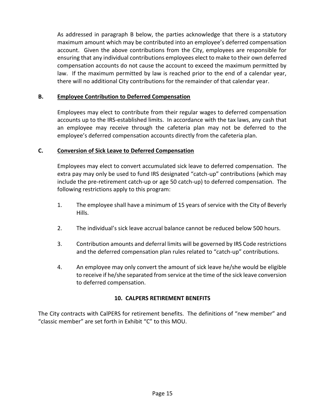As addressed in paragraph B below, the parties acknowledge that there is a statutory maximum amount which may be contributed into an employee's deferred compensation account. Given the above contributions from the City, employees are responsible for ensuring that any individual contributions employees elect to make to their own deferred compensation accounts do not cause the account to exceed the maximum permitted by law. If the maximum permitted by law is reached prior to the end of a calendar year, there will no additional City contributions for the remainder of that calendar year.

## <span id="page-18-0"></span>**B. Employee Contribution to Deferred Compensation**

Employees may elect to contribute from their regular wages to deferred compensation accounts up to the IRS-established limits. In accordance with the tax laws, any cash that an employee may receive through the cafeteria plan may not be deferred to the employee's deferred compensation accounts directly from the cafeteria plan.

# <span id="page-18-1"></span>**C. Conversion of Sick Leave to Deferred Compensation**

Employees may elect to convert accumulated sick leave to deferred compensation. The extra pay may only be used to fund IRS designated "catch-up" contributions (which may include the pre-retirement catch-up or age 50 catch-up) to deferred compensation. The following restrictions apply to this program:

- 1. The employee shall have a minimum of 15 years of service with the City of Beverly Hills.
- 2. The individual's sick leave accrual balance cannot be reduced below 500 hours.
- 3. Contribution amounts and deferral limits will be governed by IRS Code restrictions and the deferred compensation plan rules related to "catch-up" contributions.
- 4. An employee may only convert the amount of sick leave he/she would be eligible to receive if he/she separated from service at the time of the sick leave conversion to deferred compensation.

## **10. CALPERS RETIREMENT BENEFITS**

<span id="page-18-2"></span>The City contracts with CalPERS for retirement benefits. The definitions of "new member" and "classic member" are set forth in Exhibit "C" to this MOU.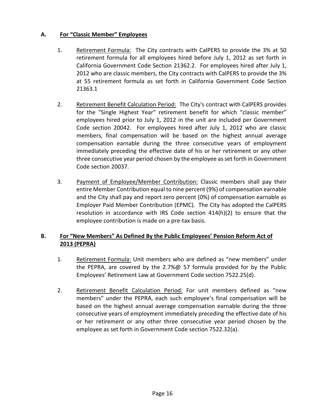# <span id="page-19-0"></span>**A. For "Classic Member" Employees**

- 1. Retirement Formula: The City contracts with CalPERS to provide the 3% at 50 retirement formula for all employees hired before July 1, 2012 as set forth in California Government Code Section 21362.2. For employees hired after July 1, 2012 who are classic members, the City contracts with CalPERS to provide the 3% at 55 retirement formula as set forth in California Government Code Section 21363.1
- 2. Retirement Benefit Calculation Period: The City's contract with CalPERS provides for the "Single Highest Year" retirement benefit for which "classic member" employees hired prior to July 1, 2012 in the unit are included per Government Code section 20042. For employees hired after July 1, 2012 who are classic members, final compensation will be based on the highest annual average compensation earnable during the three consecutive years of employment immediately preceding the effective date of his or her retirement or any other three consecutive year period chosen by the employee as set forth in Government Code section 20037.
- 3. Payment of Employee/Member Contribution: Classic members shall pay their entire Member Contribution equal to nine percent (9%) of compensation earnable and the City shall pay and report zero percent (0%) of compensation earnable as Employer Paid Member Contribution (EPMC). The City has adopted the CalPERS resolution in accordance with IRS Code section 414(h)(2) to ensure that the employee contribution is made on a pre-tax basis.

# <span id="page-19-1"></span>**B. For "New Members" As Defined By the Public Employees' Pension Reform Act of 2013 (PEPRA)**

- 1. Retirement Formula: Unit members who are defined as "new members" under the PEPRA, are covered by the 2.7%@ 57 formula provided for by the Public Employees' Retirement Law at Government Code section 7522.25(d).
- 2. Retirement Benefit Calculation Period: For unit members defined as "new members" under the PEPRA, each such employee's final compensation will be based on the highest annual average compensation earnable during the three consecutive years of employment immediately preceding the effective date of his or her retirement or any other three consecutive year period chosen by the employee as set forth in Government Code section 7522.32(a).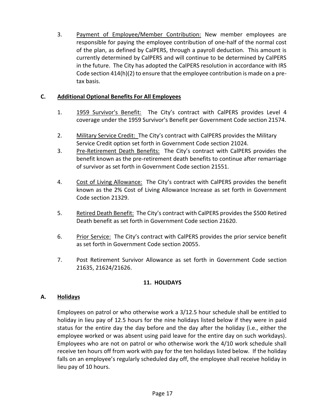3. Payment of Employee/Member Contribution: New member employees are responsible for paying the employee contribution of one-half of the normal cost of the plan, as defined by CalPERS, through a payroll deduction. This amount is currently determined by CalPERS and will continue to be determined by CalPERS in the future. The City has adopted the CalPERS resolution in accordance with IRS Code section 414(h)(2) to ensure that the employee contribution is made on a pretax basis.

# <span id="page-20-0"></span>**C. Additional Optional Benefits For All Employees**

- 1. 1959 Survivor's Benefit: The City's contract with CalPERS provides Level 4 coverage under the 1959 Survivor's Benefit per Government Code section 21574.
- 2. Military Service Credit: The City's contract with CalPERS provides the Military Service Credit option set forth in Government Code section 21024.
- 3. Pre-Retirement Death Benefits: The City's contract with CalPERS provides the benefit known as the pre-retirement death benefits to continue after remarriage of survivor as set forth in Government Code section 21551.
- 4. Cost of Living Allowance: The City's contract with CalPERS provides the benefit known as the 2% Cost of Living Allowance Increase as set forth in Government Code section 21329.
- 5. Retired Death Benefit: The City's contract with CalPERS provides the \$500 Retired Death benefit as set forth in Government Code section 21620.
- 6. Prior Service: The City's contract with CalPERS provides the prior service benefit as set forth in Government Code section 20055.
- 7. Post Retirement Survivor Allowance as set forth in Government Code section 21635, 21624/21626.

## **11. HOLIDAYS**

## <span id="page-20-2"></span><span id="page-20-1"></span>**A. Holidays**

Employees on patrol or who otherwise work a 3/12.5 hour schedule shall be entitled to holiday in lieu pay of 12.5 hours for the nine holidays listed below if they were in paid status for the entire day the day before and the day after the holiday (i.e., either the employee worked or was absent using paid leave for the entire day on such workdays). Employees who are not on patrol or who otherwise work the 4/10 work schedule shall receive ten hours off from work with pay for the ten holidays listed below. If the holiday falls on an employee's regularly scheduled day off, the employee shall receive holiday in lieu pay of 10 hours.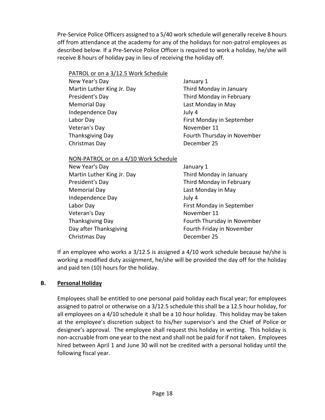Pre-Service Police Officers assigned to a 5/40 work schedule will generally receive 8 hours off from attendance at the academy for any of the holidays for non-patrol employees as described below. If a Pre-Service Police Officer is required to work a holiday, he/she will receive 8 hours of holiday pay in lieu of receiving the holiday off.

| PATROL or on a 3/12.5 Work Schedule |
|-------------------------------------|
|-------------------------------------|

| New Year's Day             | Janua   |
|----------------------------|---------|
| Martin Luther King Jr. Day | Third   |
| President's Day            | Third   |
| <b>Memorial Day</b>        | Last N  |
| Independence Day           | July 4  |
| Labor Day                  | First I |
| Veteran's Day              | Nover   |
| <b>Thanksgiving Day</b>    | Fourt   |
| Christmas Day              | Decer   |
|                            |         |

January 1 Third Monday in January Third Monday in February Last Monday in May First Monday in September November 11 Fourth Thursday in November December 25

NON-PATROL or on a 4/10 Work Schedule

New Year's Day January 1 Martin Luther King Jr. Day Third Monday in January President's Day **Third Monday** in February Memorial Day Last Monday in May Independence Day July 4 Veteran's Day November 11 Christmas Day **December 25** 

Labor Day First Monday in September Thanksgiving Day **Fourth Thursday in November** Day after Thanksgiving Fourth Friday in November

If an employee who works a 3/12.5 is assigned a 4/10 work schedule because he/she is working a modified duty assignment, he/she will be provided the day off for the holiday and paid ten (10) hours for the holiday.

# <span id="page-21-0"></span>**B. Personal Holiday**

Employees shall be entitled to one personal paid holiday each fiscal year; for employees assigned to patrol or otherwise on a 3/12.5 schedule this shall be a 12.5 hour holiday, for all employees on a 4/10 schedule it shall be a 10 hour holiday. This holiday may be taken at the employee's discretion subject to his/her supervisor's and the Chief of Police or designee's approval. The employee shall request this holiday in writing. This holiday is non-accruable from one year to the next and shall not be paid for if not taken. Employees hired between April 1 and June 30 will not be credited with a personal holiday until the following fiscal year.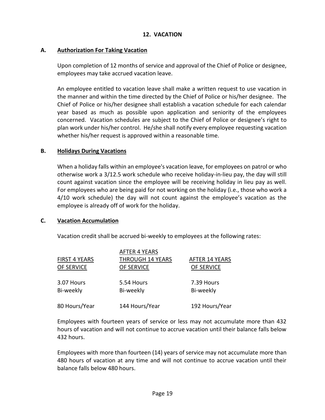#### **12. VACATION**

#### <span id="page-22-1"></span><span id="page-22-0"></span>**A. Authorization For Taking Vacation**

Upon completion of 12 months of service and approval of the Chief of Police or designee, employees may take accrued vacation leave.

An employee entitled to vacation leave shall make a written request to use vacation in the manner and within the time directed by the Chief of Police or his/her designee. The Chief of Police or his/her designee shall establish a vacation schedule for each calendar year based as much as possible upon application and seniority of the employees concerned. Vacation schedules are subject to the Chief of Police or designee's right to plan work under his/her control. He/she shall notify every employee requesting vacation whether his/her request is approved within a reasonable time.

#### <span id="page-22-2"></span>**B. Holidays During Vacations**

When a holiday falls within an employee's vacation leave, for employees on patrol or who otherwise work a 3/12.5 work schedule who receive holiday-in-lieu pay, the day will still count against vacation since the employee will be receiving holiday in lieu pay as well. For employees who are being paid for not working on the holiday (i.e., those who work a 4/10 work schedule) the day will not count against the employee's vacation as the employee is already off of work for the holiday.

#### <span id="page-22-3"></span>**C. Vacation Accumulation**

Vacation credit shall be accrued bi-weekly to employees at the following rates:

|                      | <b>AFTER 4 YEARS</b>    |                       |
|----------------------|-------------------------|-----------------------|
| <b>FIRST 4 YEARS</b> | <b>THROUGH 14 YEARS</b> | <b>AFTER 14 YEARS</b> |
| OF SERVICE           | OF SERVICE              | OF SERVICE            |
| 3.07 Hours           | 5.54 Hours              | 7.39 Hours            |
| Bi-weekly            | Bi-weekly               | Bi-weekly             |
| 80 Hours/Year        | 144 Hours/Year          | 192 Hours/Year        |

Employees with fourteen years of service or less may not accumulate more than 432 hours of vacation and will not continue to accrue vacation until their balance falls below 432 hours.

Employees with more than fourteen (14) years of service may not accumulate more than 480 hours of vacation at any time and will not continue to accrue vacation until their balance falls below 480 hours.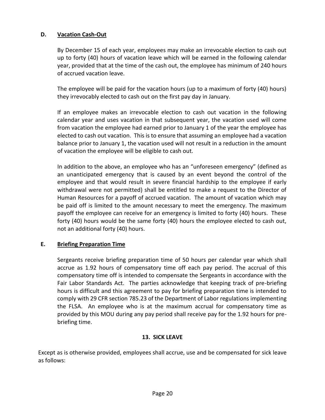# <span id="page-23-0"></span>**D. Vacation Cash-Out**

By December 15 of each year, employees may make an irrevocable election to cash out up to forty (40) hours of vacation leave which will be earned in the following calendar year, provided that at the time of the cash out, the employee has minimum of 240 hours of accrued vacation leave.

The employee will be paid for the vacation hours (up to a maximum of forty (40) hours) they irrevocably elected to cash out on the first pay day in January.

If an employee makes an irrevocable election to cash out vacation in the following calendar year and uses vacation in that subsequent year, the vacation used will come from vacation the employee had earned prior to January 1 of the year the employee has elected to cash out vacation. This is to ensure that assuming an employee had a vacation balance prior to January 1, the vacation used will not result in a reduction in the amount of vacation the employee will be eligible to cash out.

In addition to the above, an employee who has an "unforeseen emergency" (defined as an unanticipated emergency that is caused by an event beyond the control of the employee and that would result in severe financial hardship to the employee if early withdrawal were not permitted) shall be entitled to make a request to the Director of Human Resources for a payoff of accrued vacation. The amount of vacation which may be paid off is limited to the amount necessary to meet the emergency. The maximum payoff the employee can receive for an emergency is limited to forty (40) hours. These forty (40) hours would be the same forty (40) hours the employee elected to cash out, not an additional forty (40) hours.

## <span id="page-23-1"></span>**E. Briefing Preparation Time**

Sergeants receive briefing preparation time of 50 hours per calendar year which shall accrue as 1.92 hours of compensatory time off each pay period. The accrual of this compensatory time off is intended to compensate the Sergeants in accordance with the Fair Labor Standards Act. The parties acknowledge that keeping track of pre-briefing hours is difficult and this agreement to pay for briefing preparation time is intended to comply with 29 CFR section 785.23 of the Department of Labor regulations implementing the FLSA. An employee who is at the maximum accrual for compensatory time as provided by this MOU during any pay period shall receive pay for the 1.92 hours for prebriefing time.

#### **13. SICK LEAVE**

<span id="page-23-2"></span>Except as is otherwise provided, employees shall accrue, use and be compensated for sick leave as follows: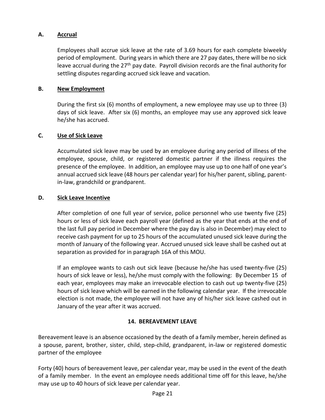## <span id="page-24-0"></span>**A. Accrual**

Employees shall accrue sick leave at the rate of 3.69 hours for each complete biweekly period of employment. During years in which there are 27 pay dates, there will be no sick leave accrual during the 27<sup>th</sup> pay date. Payroll division records are the final authority for settling disputes regarding accrued sick leave and vacation.

#### <span id="page-24-1"></span>**B. New Employment**

During the first six (6) months of employment, a new employee may use up to three (3) days of sick leave. After six (6) months, an employee may use any approved sick leave he/she has accrued.

#### <span id="page-24-2"></span>**C. Use of Sick Leave**

Accumulated sick leave may be used by an employee during any period of illness of the employee, spouse, child, or registered domestic partner if the illness requires the presence of the employee. In addition, an employee may use up to one half of one year's annual accrued sick leave (48 hours per calendar year) for his/her parent, sibling, parentin-law, grandchild or grandparent.

#### <span id="page-24-3"></span>**D. Sick Leave Incentive**

After completion of one full year of service, police personnel who use twenty five (25) hours or less of sick leave each payroll year (defined as the year that ends at the end of the last full pay period in December where the pay day is also in December) may elect to receive cash payment for up to 25 hours of the accumulated unused sick leave during the month of January of the following year. Accrued unused sick leave shall be cashed out at separation as provided for in paragraph 16A of this MOU.

If an employee wants to cash out sick leave (because he/she has used twenty-five (25) hours of sick leave or less), he/she must comply with the following: By December 15 of each year, employees may make an irrevocable election to cash out up twenty-five (25) hours of sick leave which will be earned in the following calendar year. If the irrevocable election is not made, the employee will not have any of his/her sick leave cashed out in January of the year after it was accrued.

## **14. BEREAVEMENT LEAVE**

<span id="page-24-4"></span>Bereavement leave is an absence occasioned by the death of a family member, herein defined as a spouse, parent, brother, sister, child, step-child, grandparent, in-law or registered domestic partner of the employee

Forty (40) hours of bereavement leave, per calendar year, may be used in the event of the death of a family member. In the event an employee needs additional time off for this leave, he/she may use up to 40 hours of sick leave per calendar year.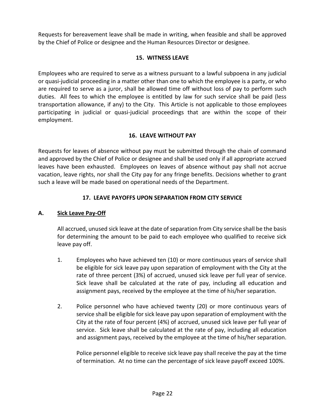Requests for bereavement leave shall be made in writing, when feasible and shall be approved by the Chief of Police or designee and the Human Resources Director or designee.

## **15. WITNESS LEAVE**

<span id="page-25-0"></span>Employees who are required to serve as a witness pursuant to a lawful subpoena in any judicial or quasi-judicial proceeding in a matter other than one to which the employee is a party, or who are required to serve as a juror, shall be allowed time off without loss of pay to perform such duties. All fees to which the employee is entitled by law for such service shall be paid (less transportation allowance, if any) to the City. This Article is not applicable to those employees participating in judicial or quasi-judicial proceedings that are within the scope of their employment.

# **16. LEAVE WITHOUT PAY**

<span id="page-25-1"></span>Requests for leaves of absence without pay must be submitted through the chain of command and approved by the Chief of Police or designee and shall be used only if all appropriate accrued leaves have been exhausted. Employees on leaves of absence without pay shall not accrue vacation, leave rights, nor shall the City pay for any fringe benefits. Decisions whether to grant such a leave will be made based on operational needs of the Department.

# **17. LEAVE PAYOFFS UPON SEPARATION FROM CITY SERVICE**

## <span id="page-25-3"></span><span id="page-25-2"></span>**A. Sick Leave Pay-Off**

All accrued, unused sick leave at the date of separation from City service shall be the basis for determining the amount to be paid to each employee who qualified to receive sick leave pay off.

- 1. Employees who have achieved ten (10) or more continuous years of service shall be eligible for sick leave pay upon separation of employment with the City at the rate of three percent (3%) of accrued, unused sick leave per full year of service. Sick leave shall be calculated at the rate of pay, including all education and assignment pays, received by the employee at the time of his/her separation.
- 2. Police personnel who have achieved twenty (20) or more continuous years of service shall be eligible for sick leave pay upon separation of employment with the City at the rate of four percent (4%) of accrued, unused sick leave per full year of service. Sick leave shall be calculated at the rate of pay, including all education and assignment pays, received by the employee at the time of his/her separation.

Police personnel eligible to receive sick leave pay shall receive the pay at the time of termination. At no time can the percentage of sick leave payoff exceed 100%.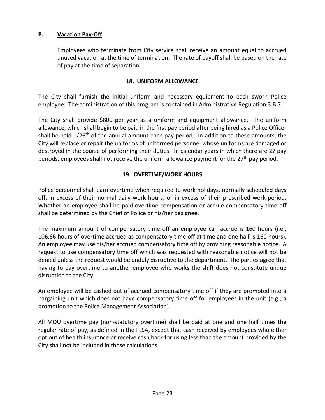## <span id="page-26-0"></span>**B. Vacation Pay-Off**

Employees who terminate from City service shall receive an amount equal to accrued unused vacation at the time of termination. The rate of payoff shall be based on the rate of pay at the time of separation.

#### **18. UNIFORM ALLOWANCE**

<span id="page-26-1"></span>The City shall furnish the initial uniform and necessary equipment to each sworn Police employee. The administration of this program is contained in Administrative Regulation 3.B.7.

The City shall provide \$800 per year as a uniform and equipment allowance. The uniform allowance, which shall begin to be paid in the first pay period after being hired as a Police Officer shall be paid  $1/26<sup>th</sup>$  of the annual amount each pay period. In addition to these amounts, the City will replace or repair the uniforms of uniformed personnel whose uniforms are damaged or destroyed in the course of performing their duties. In calendar years in which there are 27 pay periods, employees shall not receive the uniform allowance payment for the 27<sup>th</sup> pay period.

## **19. OVERTIME/WORK HOURS**

<span id="page-26-2"></span>Police personnel shall earn overtime when required to work holidays, normally scheduled days off, in excess of their normal daily work hours, or in excess of their prescribed work period. Whether an employee shall be paid overtime compensation or accrue compensatory time off shall be determined by the Chief of Police or his/her designee.

The maximum amount of compensatory time off an employee can accrue is 160 hours (i.e., 106.66 hours of overtime accrued as compensatory time off at time and one half is 160 hours). An employee may use his/her accrued compensatory time off by providing reasonable notice. A request to use compensatory time off which was requested with reasonable notice will not be denied unless the request would be unduly disruptive to the department. The parties agree that having to pay overtime to another employee who works the shift does not constitute undue disruption to the City.

An employee will be cashed out of accrued compensatory time off if they are promoted into a bargaining unit which does not have compensatory time off for employees in the unit (e.g., a promotion to the Police Management Association).

All MOU overtime pay (non-statutory overtime) shall be paid at one and one half times the regular rate of pay, as defined in the FLSA, except that cash received by employees who either opt out of health insurance or receive cash back for using less than the amount provided by the City shall not be included in those calculations.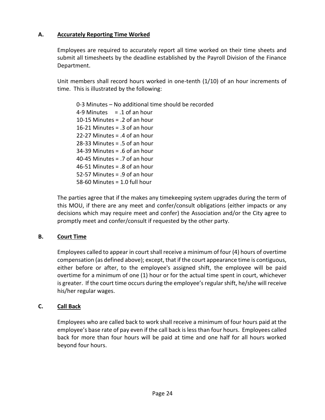# <span id="page-27-0"></span>**A. Accurately Reporting Time Worked**

Employees are required to accurately report all time worked on their time sheets and submit all timesheets by the deadline established by the Payroll Division of the Finance Department.

Unit members shall record hours worked in one-tenth (1/10) of an hour increments of time. This is illustrated by the following:

0-3 Minutes – No additional time should be recorded 4-9 Minutes  $= 1$  of an hour 10-15 Minutes = .2 of an hour 16-21 Minutes  $=$  3 of an hour 22-27 Minutes = .4 of an hour 28-33 Minutes = .5 of an hour 34-39 Minutes = .6 of an hour 40-45 Minutes = .7 of an hour 46-51 Minutes = .8 of an hour 52-57 Minutes = .9 of an hour 58-60 Minutes = 1.0 full hour

The parties agree that if the makes any timekeeping system upgrades during the term of this MOU, if there are any meet and confer/consult obligations (either impacts or any decisions which may require meet and confer) the Association and/or the City agree to promptly meet and confer/consult if requested by the other party.

## <span id="page-27-1"></span>**B. Court Time**

Employees called to appear in court shall receive a minimum of four (4) hours of overtime compensation (as defined above); except, that if the court appearance time is contiguous, either before or after, to the employee's assigned shift, the employee will be paid overtime for a minimum of one (1) hour or for the actual time spent in court, whichever is greater. If the court time occurs during the employee's regular shift, he/she will receive his/her regular wages.

## <span id="page-27-2"></span>**C. Call Back**

Employees who are called back to work shall receive a minimum of four hours paid at the employee's base rate of pay even if the call back is less than four hours. Employees called back for more than four hours will be paid at time and one half for all hours worked beyond four hours.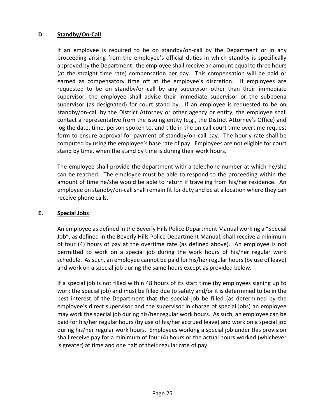## **D. Standby/On-Call**

If an employee is required to be on standby/on-call by the Department or in any proceeding arising from the employee's official duties in which standby is specifically approved by the Department , the employee shall receive an amount equal to three hours (at the straight time rate) compensation per day. This compensation will be paid or earned as compensatory time off at the employee's discretion. If employees are requested to be on standby/on-call by any supervisor other than their immediate supervisor, the employee shall advise their immediate supervisor or the subpoena supervisor (as designated) for court stand by. If an employee is requested to be on standby/on-call by the District Attorney or other agency or entity, the employee shall contact a representative from the issuing entity (e.g., the District Attorney's Office) and log the date, time, person spoken to, and title in the on call court time overtime request form to ensure approval for payment of standby/on-call pay. The hourly rate shall be computed by using the employee's base rate of pay. Employees are not eligible for court stand by time, when the stand by time is during their work hours.

The employee shall provide the department with a telephone number at which he/she can be reached. The employee must be able to respond to the proceeding within the amount of time he/she would be able to return if traveling from his/her residence. An employee on standby/on-call shall remain fit for duty and be at a location where they can receive phone calls.

#### <span id="page-28-0"></span>**E. Special Jobs**

An employee as defined in the Beverly Hills Police Department Manual working a "Special Job", as defined in the Beverly Hills Police Department Manual, shall receive a minimum of four (4) hours of pay at the overtime rate (as defined above). An employee is not permitted to work on a special job during the work hours of his/her regular work schedule. As such, an employee cannot be paid for his/her regular hours (by use of leave) and work on a special job during the same hours except as provided below.

If a special job is not filled within 48 hours of its start time (by employees signing up to work the special job) and must be filled due to safety and/or it is determined to be in the best interest of the Department that the special job be filled (as determined by the employee's direct supervisor and the supervisor in charge of special jobs) an employee may work the special job during his/her regular work hours. As such, an employee can be paid for his/her regular hours (by use of his/her accrued leave) and work on a special job during his/her regular work hours. Employees working a special job under this provision shall receive pay for a minimum of four (4) hours or the actual hours worked (whichever is greater) at time and one half of their regular rate of pay.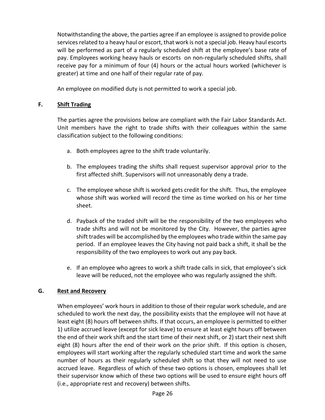Notwithstanding the above, the parties agree if an employee is assigned to provide police services related to a heavy haul or escort, that work is not a special job. Heavy haul escorts will be performed as part of a regularly scheduled shift at the employee's base rate of pay. Employees working heavy hauls or escorts on non-regularly scheduled shifts, shall receive pay for a minimum of four (4) hours or the actual hours worked (whichever is greater) at time and one half of their regular rate of pay.

An employee on modified duty is not permitted to work a special job.

# <span id="page-29-0"></span>**F. Shift Trading**

The parties agree the provisions below are compliant with the Fair Labor Standards Act. Unit members have the right to trade shifts with their colleagues within the same classification subject to the following conditions:

- a. Both employees agree to the shift trade voluntarily.
- b. The employees trading the shifts shall request supervisor approval prior to the first affected shift. Supervisors will not unreasonably deny a trade.
- c. The employee whose shift is worked gets credit for the shift. Thus, the employee whose shift was worked will record the time as time worked on his or her time sheet.
- d. Payback of the traded shift will be the responsibility of the two employees who trade shifts and will not be monitored by the City. However, the parties agree shift trades will be accomplished by the employees who trade within the same pay period. If an employee leaves the City having not paid back a shift, it shall be the responsibility of the two employees to work out any pay back.
- e. If an employee who agrees to work a shift trade calls in sick, that employee's sick leave will be reduced, not the employee who was regularly assigned the shift.

# <span id="page-29-1"></span>**G. Rest and Recovery**

When employees' work hours in addition to those of their regular work schedule, and are scheduled to work the next day, the possibility exists that the employee will not have at least eight (8) hours off between shifts. If that occurs, an employee is permitted to either 1) utilize accrued leave (except for sick leave) to ensure at least eight hours off between the end of their work shift and the start time of their next shift, or 2) start their next shift eight (8) hours after the end of their work on the prior shift. If this option is chosen, employees will start working after the regularly scheduled start time and work the same number of hours as their regularly scheduled shift so that they will not need to use accrued leave. Regardless of which of these two options is chosen, employees shall let their supervisor know which of these two options will be used to ensure eight hours off (i.e., appropriate rest and recovery) between shifts.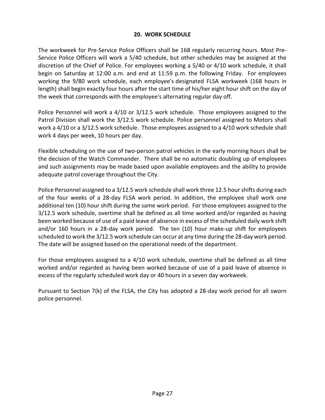## **20. WORK SCHEDULE**

<span id="page-30-0"></span>The workweek for Pre-Service Police Officers shall be 168 regularly recurring hours. Most Pre-Service Police Officers will work a 5/40 schedule, but other schedules may be assigned at the discretion of the Chief of Police. For employees working a 5/40 or 4/10 work schedule, it shall begin on Saturday at 12:00 a.m. and end at 11:59 p.m. the following Friday. For employees working the 9/80 work schedule, each employee's designated FLSA workweek (168 hours in length) shall begin exactly four hours after the start time of his/her eight hour shift on the day of the week that corresponds with the employee's alternating regular day off.

Police Personnel will work a 4/10 or 3/12.5 work schedule. Those employees assigned to the Patrol Division shall work the 3/12.5 work schedule. Police personnel assigned to Motors shall work a 4/10 or a 3/12.5 work schedule. Those employees assigned to a 4/10 work schedule shall work 4 days per week, 10 hours per day.

Flexible scheduling on the use of two-person patrol vehicles in the early morning hours shall be the decision of the Watch Commander. There shall be no automatic doubling up of employees and such assignments may be made based upon available employees and the ability to provide adequate patrol coverage throughout the City.

Police Personnel assigned to a 3/12.5 work schedule shall work three 12.5 hour shifts during each of the four weeks of a 28-day FLSA work period. In addition, the employee shall work one additional ten (10) hour shift during the same work period. For those employees assigned to the 3/12.5 work schedule, overtime shall be defined as all time worked and/or regarded as having been worked because of use of a paid leave of absence in excess of the scheduled daily work shift and/or 160 hours in a 28-day work period. The ten (10) hour make-up shift for employees scheduled to work the 3/12.5 work schedule can occur at any time during the 28-day work period. The date will be assigned based on the operational needs of the department.

For those employees assigned to a 4/10 work schedule, overtime shall be defined as all time worked and/or regarded as having been worked because of use of a paid leave of absence in excess of the regularly scheduled work day or 40 hours in a seven day workweek.

Pursuant to Section 7(k) of the FLSA, the City has adopted a 28-day work period for all sworn police personnel.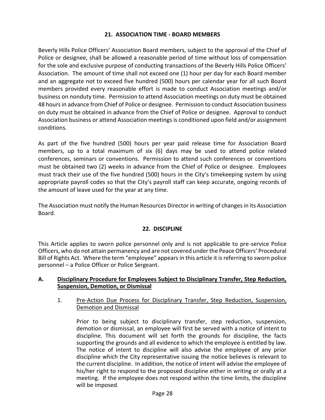## **21. ASSOCIATION TIME - BOARD MEMBERS**

<span id="page-31-0"></span>Beverly Hills Police Officers' Association Board members, subject to the approval of the Chief of Police or designee, shall be allowed a reasonable period of time without loss of compensation for the sole and exclusive purpose of conducting transactions of the Beverly Hills Police Officers' Association. The amount of time shall not exceed one (1) hour per day for each Board member and an aggregate not to exceed five hundred (500) hours per calendar year for all such Board members provided every reasonable effort is made to conduct Association meetings and/or business on nonduty time. Permission to attend Association meetings on duty must be obtained 48 hours in advance from Chief of Police or designee. Permission to conduct Association business on duty must be obtained in advance from the Chief of Police or designee. Approval to conduct Association business or attend Association meetings is conditioned upon field and/or assignment conditions.

As part of the five hundred (500) hours per year paid release time for Association Board members, up to a total maximum of six (6) days may be used to attend police related conferences, seminars or conventions. Permission to attend such conferences or conventions must be obtained two (2) weeks in advance from the Chief of Police or designee. Employees must track their use of the five hundred (500) hours in the City's timekeeping system by using appropriate payroll codes so that the City's payroll staff can keep accurate, ongoing records of the amount of leave used for the year at any time.

The Association must notify the Human Resources Director in writing of changes in its Association Board.

## **22. DISCIPLINE**

<span id="page-31-1"></span>This Article applies to sworn police personnel only and is not applicable to pre-service Police Officers, who do not attain permanency and are not covered under the Peace Officers' Procedural Bill of Rights Act. Where the term "employee" appears in this article it is referring to sworn police personnel – a Police Officer or Police Sergeant.

#### <span id="page-31-2"></span>**A. Disciplinary Procedure for Employees Subject to Disciplinary Transfer, Step Reduction, Suspension, Demotion, or Dismissal**

#### 1. Pre-Action Due Process for Disciplinary Transfer, Step Reduction, Suspension, Demotion and Dismissal

Prior to being subject to disciplinary transfer, step reduction, suspension, demotion or dismissal, an employee will first be served with a notice of intent to discipline. This document will set forth the grounds for discipline, the facts supporting the grounds and all evidence to which the employee is entitled by law. The notice of intent to discipline will also advise the employee of any prior discipline which the City representative issuing the notice believes is relevant to the current discipline. In addition, the notice of intent will advise the employee of his/her right to respond to the proposed discipline either in writing or orally at a meeting. If the employee does not respond within the time limits, the discipline will be imposed.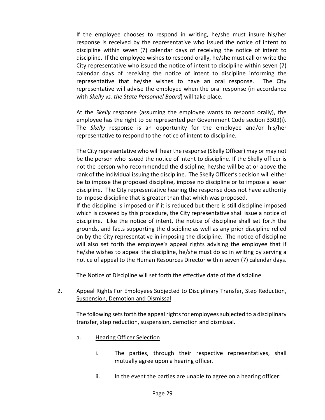If the employee chooses to respond in writing, he/she must insure his/her response is received by the representative who issued the notice of intent to discipline within seven (7) calendar days of receiving the notice of intent to discipline. If the employee wishes to respond orally, he/she must call or write the City representative who issued the notice of intent to discipline within seven (7) calendar days of receiving the notice of intent to discipline informing the representative that he/she wishes to have an oral response. The City representative will advise the employee when the oral response (in accordance with *Skelly vs. the State Personnel Board*) will take place.

At the *Skelly* response (assuming the employee wants to respond orally), the employee has the right to be represented per Government Code section 3303(i). The *Skelly* response is an opportunity for the employee and/or his/her representative to respond to the notice of intent to discipline.

The City representative who will hear the response (Skelly Officer) may or may not be the person who issued the notice of intent to discipline. If the Skelly officer is not the person who recommended the discipline, he/she will be at or above the rank of the individual issuing the discipline. The Skelly Officer's decision will either be to impose the proposed discipline, impose no discipline or to impose a lesser discipline. The City representative hearing the response does not have authority to impose discipline that is greater than that which was proposed.

If the discipline is imposed or if it is reduced but there is still discipline imposed which is covered by this procedure, the City representative shall issue a notice of discipline. Like the notice of intent, the notice of discipline shall set forth the grounds, and facts supporting the discipline as well as any prior discipline relied on by the City representative in imposing the discipline. The notice of discipline will also set forth the employee's appeal rights advising the employee that if he/she wishes to appeal the discipline, he/she must do so in writing by serving a notice of appeal to the Human Resources Director within seven (7) calendar days.

The Notice of Discipline will set forth the effective date of the discipline.

## 2. Appeal Rights For Employees Subjected to Disciplinary Transfer, Step Reduction, Suspension, Demotion and Dismissal

The following sets forth the appeal rights for employees subjected to a disciplinary transfer, step reduction, suspension, demotion and dismissal.

- a. Hearing Officer Selection
	- i. The parties, through their respective representatives, shall mutually agree upon a hearing officer.
	- ii. In the event the parties are unable to agree on a hearing officer: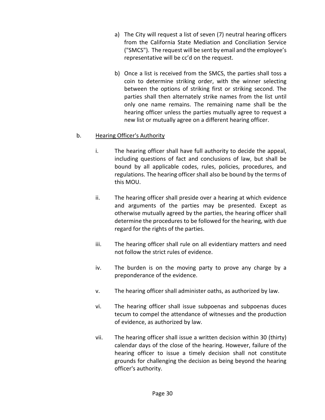- a) The City will request a list of seven (7) neutral hearing officers from the California State Mediation and Conciliation Service ("SMCS"). The request will be sent by email and the employee's representative will be cc'd on the request.
- b) Once a list is received from the SMCS, the parties shall toss a coin to determine striking order, with the winner selecting between the options of striking first or striking second. The parties shall then alternately strike names from the list until only one name remains. The remaining name shall be the hearing officer unless the parties mutually agree to request a new list or mutually agree on a different hearing officer.

## b. Hearing Officer's Authority

- i. The hearing officer shall have full authority to decide the appeal, including questions of fact and conclusions of law, but shall be bound by all applicable codes, rules, policies, procedures, and regulations. The hearing officer shall also be bound by the terms of this MOU.
- ii. The hearing officer shall preside over a hearing at which evidence and arguments of the parties may be presented. Except as otherwise mutually agreed by the parties, the hearing officer shall determine the procedures to be followed for the hearing, with due regard for the rights of the parties.
- iii. The hearing officer shall rule on all evidentiary matters and need not follow the strict rules of evidence.
- iv. The burden is on the moving party to prove any charge by a preponderance of the evidence.
- v. The hearing officer shall administer oaths, as authorized by law.
- vi. The hearing officer shall issue subpoenas and subpoenas duces tecum to compel the attendance of witnesses and the production of evidence, as authorized by law.
- vii. The hearing officer shall issue a written decision within 30 (thirty) calendar days of the close of the hearing. However, failure of the hearing officer to issue a timely decision shall not constitute grounds for challenging the decision as being beyond the hearing officer's authority.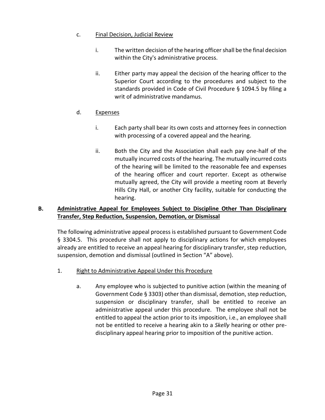# c. Final Decision, Judicial Review

- i. The written decision of the hearing officer shall be the final decision within the City's administrative process.
- ii. Either party may appeal the decision of the hearing officer to the Superior Court according to the procedures and subject to the standards provided in Code of Civil Procedure § 1094.5 by filing a writ of administrative mandamus.

# d. Expenses

- i. Each party shall bear its own costs and attorney fees in connection with processing of a covered appeal and the hearing.
- ii. Both the City and the Association shall each pay one-half of the mutually incurred costs of the hearing. The mutually incurred costs of the hearing will be limited to the reasonable fee and expenses of the hearing officer and court reporter. Except as otherwise mutually agreed, the City will provide a meeting room at Beverly Hills City Hall, or another City facility, suitable for conducting the hearing.

## <span id="page-34-0"></span>**B. Administrative Appeal for Employees Subject to Discipline Other Than Disciplinary Transfer, Step Reduction, Suspension, Demotion, or Dismissal**

The following administrative appeal process is established pursuant to Government Code § 3304.5. This procedure shall not apply to disciplinary actions for which employees already are entitled to receive an appeal hearing for disciplinary transfer, step reduction, suspension, demotion and dismissal (outlined in Section "A" above).

- 1. Right to Administrative Appeal Under this Procedure
	- a. Any employee who is subjected to punitive action (within the meaning of Government Code § 3303) other than dismissal, demotion, step reduction, suspension or disciplinary transfer, shall be entitled to receive an administrative appeal under this procedure. The employee shall not be entitled to appeal the action prior to its imposition, i.e., an employee shall not be entitled to receive a hearing akin to a *Skelly* hearing or other predisciplinary appeal hearing prior to imposition of the punitive action.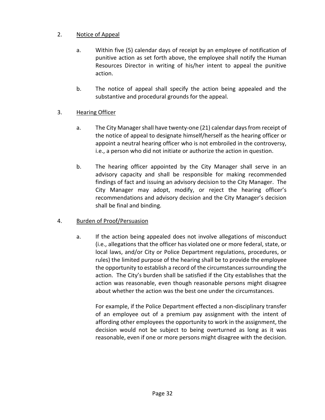# 2. Notice of Appeal

- a. Within five (5) calendar days of receipt by an employee of notification of punitive action as set forth above, the employee shall notify the Human Resources Director in writing of his/her intent to appeal the punitive action.
- b. The notice of appeal shall specify the action being appealed and the substantive and procedural grounds for the appeal.

# 3. Hearing Officer

- a. The City Manager shall have twenty-one (21) calendar days from receipt of the notice of appeal to designate himself/herself as the hearing officer or appoint a neutral hearing officer who is not embroiled in the controversy, i.e., a person who did not initiate or authorize the action in question.
- b. The hearing officer appointed by the City Manager shall serve in an advisory capacity and shall be responsible for making recommended findings of fact and issuing an advisory decision to the City Manager. The City Manager may adopt, modify, or reject the hearing officer's recommendations and advisory decision and the City Manager's decision shall be final and binding.

## 4. Burden of Proof/Persuasion

a. If the action being appealed does not involve allegations of misconduct (i.e., allegations that the officer has violated one or more federal, state, or local laws, and/or City or Police Department regulations, procedures, or rules) the limited purpose of the hearing shall be to provide the employee the opportunity to establish a record of the circumstances surrounding the action. The City's burden shall be satisfied if the City establishes that the action was reasonable, even though reasonable persons might disagree about whether the action was the best one under the circumstances.

For example, if the Police Department effected a non-disciplinary transfer of an employee out of a premium pay assignment with the intent of affording other employees the opportunity to work in the assignment, the decision would not be subject to being overturned as long as it was reasonable, even if one or more persons might disagree with the decision.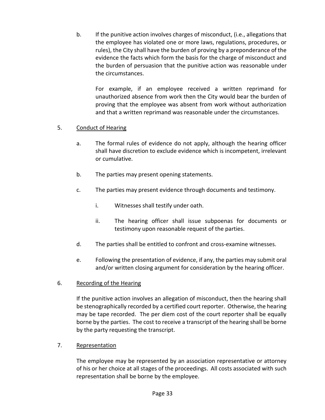b. If the punitive action involves charges of misconduct, (i.e., allegations that the employee has violated one or more laws, regulations, procedures, or rules), the City shall have the burden of proving by a preponderance of the evidence the facts which form the basis for the charge of misconduct and the burden of persuasion that the punitive action was reasonable under the circumstances.

For example, if an employee received a written reprimand for unauthorized absence from work then the City would bear the burden of proving that the employee was absent from work without authorization and that a written reprimand was reasonable under the circumstances.

## 5. Conduct of Hearing

- a. The formal rules of evidence do not apply, although the hearing officer shall have discretion to exclude evidence which is incompetent, irrelevant or cumulative.
- b. The parties may present opening statements.
- c. The parties may present evidence through documents and testimony.
	- i. Witnesses shall testify under oath.
	- ii. The hearing officer shall issue subpoenas for documents or testimony upon reasonable request of the parties.
- d. The parties shall be entitled to confront and cross-examine witnesses.
- e. Following the presentation of evidence, if any, the parties may submit oral and/or written closing argument for consideration by the hearing officer.
- 6. Recording of the Hearing

If the punitive action involves an allegation of misconduct, then the hearing shall be stenographically recorded by a certified court reporter. Otherwise, the hearing may be tape recorded. The per diem cost of the court reporter shall be equally borne by the parties. The cost to receive a transcript of the hearing shall be borne by the party requesting the transcript.

7. Representation

The employee may be represented by an association representative or attorney of his or her choice at all stages of the proceedings. All costs associated with such representation shall be borne by the employee.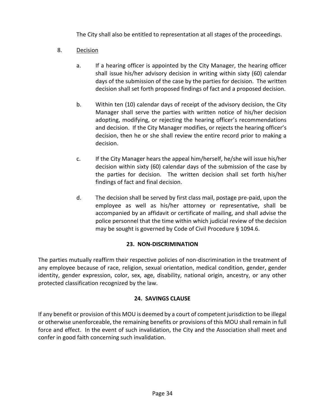The City shall also be entitled to representation at all stages of the proceedings.

# 8. Decision

- a. If a hearing officer is appointed by the City Manager, the hearing officer shall issue his/her advisory decision in writing within sixty (60) calendar days of the submission of the case by the parties for decision. The written decision shall set forth proposed findings of fact and a proposed decision.
- b. Within ten (10) calendar days of receipt of the advisory decision, the City Manager shall serve the parties with written notice of his/her decision adopting, modifying, or rejecting the hearing officer's recommendations and decision. If the City Manager modifies, or rejects the hearing officer's decision, then he or she shall review the entire record prior to making a decision.
- c. If the City Manager hears the appeal him/herself, he/she will issue his/her decision within sixty (60) calendar days of the submission of the case by the parties for decision. The written decision shall set forth his/her findings of fact and final decision.
- d. The decision shall be served by first class mail, postage pre-paid, upon the employee as well as his/her attorney or representative, shall be accompanied by an affidavit or certificate of mailing, and shall advise the police personnel that the time within which judicial review of the decision may be sought is governed by Code of Civil Procedure § 1094.6.

# **23. NON-DISCRIMINATION**

<span id="page-37-0"></span>The parties mutually reaffirm their respective policies of non-discrimination in the treatment of any employee because of race, religion, sexual orientation, medical condition, gender, gender identity, gender expression, color, sex, age, disability, national origin, ancestry, or any other protected classification recognized by the law.

# **24. SAVINGS CLAUSE**

<span id="page-37-1"></span>If any benefit or provision of this MOU is deemed by a court of competent jurisdiction to be illegal or otherwise unenforceable, the remaining benefits or provisions of this MOU shall remain in full force and effect. In the event of such invalidation, the City and the Association shall meet and confer in good faith concerning such invalidation.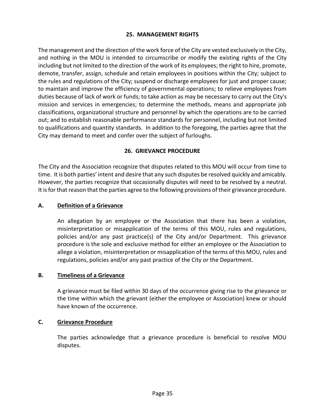## **25. MANAGEMENT RIGHTS**

<span id="page-38-0"></span>The management and the direction of the work force of the City are vested exclusively in the City, and nothing in the MOU is intended to circumscribe or modify the existing rights of the City including but not limited to the direction of the work of its employees; the right to hire, promote, demote, transfer, assign, schedule and retain employees in positions within the City; subject to the rules and regulations of the City; suspend or discharge employees for just and proper cause; to maintain and improve the efficiency of governmental operations; to relieve employees from duties because of lack of work or funds; to take action as may be necessary to carry out the City's mission and services in emergencies; to determine the methods, means and appropriate job classifications, organizational structure and personnel by which the operations are to be carried out; and to establish reasonable performance standards for personnel, including but not limited to qualifications and quantity standards. In addition to the foregoing, the parties agree that the City may demand to meet and confer over the subject of furloughs.

#### **26. GRIEVANCE PROCEDURE**

<span id="page-38-1"></span>The City and the Association recognize that disputes related to this MOU will occur from time to time. It is both parties' intent and desire that any such disputes be resolved quickly and amicably. However, the parties recognize that occasionally disputes will need to be resolved by a neutral. It is for that reason that the parties agree to the following provisions of their grievance procedure.

#### <span id="page-38-2"></span>**A. Definition of a Grievance**

An allegation by an employee or the Association that there has been a violation, misinterpretation or misapplication of the terms of this MOU, rules and regulations, policies and/or any past practice(s) of the City and/or Department. This grievance procedure is the sole and exclusive method for either an employee or the Association to allege a violation, misinterpretation or misapplication of the terms of this MOU, rules and regulations, policies and/or any past practice of the City or the Department.

#### <span id="page-38-3"></span>**B. Timeliness of a Grievance**

A grievance must be filed within 30 days of the occurrence giving rise to the grievance or the time within which the grievant (either the employee or Association) knew or should have known of the occurrence.

#### <span id="page-38-4"></span>**C. Grievance Procedure**

The parties acknowledge that a grievance procedure is beneficial to resolve MOU disputes.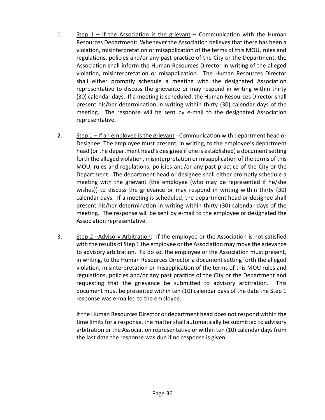- 1. Step  $1 -$  If the Association is the grievant Communication with the Human Resources Department: Whenever the Association believes that there has been a violation, misinterpretation or misapplication of the terms of this MOU, rules and regulations, policies and/or any past practice of the City or the Department, the Association shall inform the Human Resources Director in writing of the alleged violation, misinterpretation or misapplication. The Human Resources Director shall either promptly schedule a meeting with the designated Association representative to discuss the grievance or may respond in writing within thirty (30) calendar days. If a meeting is scheduled, the Human Resources Director shall present his/her determination in writing within thirty (30) calendar days of the meeting. The response will be sent by e-mail to the designated Association representative.
- 2. Step  $1$  If an employee is the grievant Communication with department head or Designee: The employee must present, in writing, to the employee's department head (or the department head's designee if one is established) a document setting forth the alleged violation, misinterpretation or misapplication of the terms of this MOU, rules and regulations, policies and/or any past practice of the City or the Department. The department head or designee shall either promptly schedule a meeting with the grievant (the employee (who may be represented if he/she wishes)) to discuss the grievance or may respond in writing within thirty (30) calendar days. If a meeting is scheduled, the department head or designee shall present his/her determination in writing within thirty (30) calendar days of the meeting. The response will be sent by e-mail to the employee or designated the Association representative.
- 3. Step 2 –Advisory Arbitration: If the employee or the Association is not satisfied with the results of Step 1 the employee or the Association may move the grievance to advisory arbitration. To do so, the employee or the Association must present, in writing, to the Human Resources Director a document setting forth the alleged violation, misinterpretation or misapplication of the terms of this MOU rules and regulations, policies and/or any past practice of the City or the Department and requesting that the grievance be submitted to advisory arbitration. This document must be presented within ten (10) calendar days of the date the Step 1 response was e-mailed to the employee.

If the Human Resources Director or department head does not respond within the time limits for a response, the matter shall automatically be submitted to advisory arbitration or the Association representative or within ten (10) calendar days from the last date the response was due if no response is given.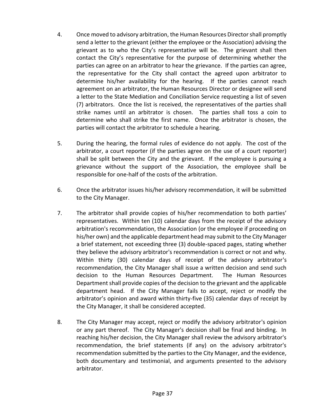- 4. Once moved to advisory arbitration, the Human Resources Director shall promptly send a letter to the grievant (either the employee or the Association) advising the grievant as to who the City's representative will be. The grievant shall then contact the City's representative for the purpose of determining whether the parties can agree on an arbitrator to hear the grievance. If the parties can agree, the representative for the City shall contact the agreed upon arbitrator to determine his/her availability for the hearing. If the parties cannot reach agreement on an arbitrator, the Human Resources Director or designee will send a letter to the State Mediation and Conciliation Service requesting a list of seven (7) arbitrators. Once the list is received, the representatives of the parties shall strike names until an arbitrator is chosen. The parties shall toss a coin to determine who shall strike the first name. Once the arbitrator is chosen, the parties will contact the arbitrator to schedule a hearing.
- 5. During the hearing, the formal rules of evidence do not apply. The cost of the arbitrator, a court reporter (if the parties agree on the use of a court reporter) shall be split between the City and the grievant. If the employee is pursuing a grievance without the support of the Association, the employee shall be responsible for one-half of the costs of the arbitration.
- 6. Once the arbitrator issues his/her advisory recommendation, it will be submitted to the City Manager.
- 7. The arbitrator shall provide copies of his/her recommendation to both parties' representatives. Within ten (10) calendar days from the receipt of the advisory arbitration's recommendation, the Association (or the employee if proceeding on his/her own) and the applicable department head may submit to the City Manager a brief statement, not exceeding three (3) double-spaced pages, stating whether they believe the advisory arbitrator's recommendation is correct or not and why. Within thirty (30) calendar days of receipt of the advisory arbitrator's recommendation, the City Manager shall issue a written decision and send such decision to the Human Resources Department. The Human Resources Department shall provide copies of the decision to the grievant and the applicable department head. If the City Manager fails to accept, reject or modify the arbitrator's opinion and award within thirty-five (35) calendar days of receipt by the City Manager, it shall be considered accepted.
- 8. The City Manager may accept, reject or modify the advisory arbitrator's opinion or any part thereof. The City Manager's decision shall be final and binding. In reaching his/her decision, the City Manager shall review the advisory arbitrator's recommendation, the brief statements (if any) on the advisory arbitrator's recommendation submitted by the parties to the City Manager, and the evidence, both documentary and testimonial, and arguments presented to the advisory arbitrator.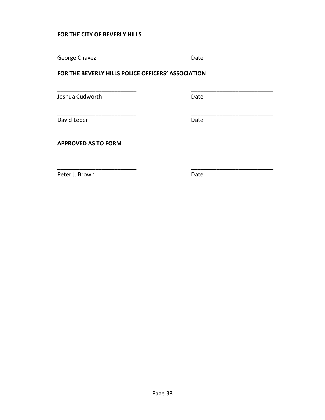#### **FOR THE CITY OF BEVERLY HILLS**

George Chavez **Date** 

\_\_\_\_\_\_\_\_\_\_\_\_\_\_\_\_\_\_\_\_\_\_\_\_\_ \_\_\_\_\_\_\_\_\_\_\_\_\_\_\_\_\_\_\_\_\_\_\_\_\_\_

\_\_\_\_\_\_\_\_\_\_\_\_\_\_\_\_\_\_\_\_\_\_\_\_\_ \_\_\_\_\_\_\_\_\_\_\_\_\_\_\_\_\_\_\_\_\_\_\_\_\_\_

\_\_\_\_\_\_\_\_\_\_\_\_\_\_\_\_\_\_\_\_\_\_\_\_\_ \_\_\_\_\_\_\_\_\_\_\_\_\_\_\_\_\_\_\_\_\_\_\_\_\_\_

\_\_\_\_\_\_\_\_\_\_\_\_\_\_\_\_\_\_\_\_\_\_\_\_\_ \_\_\_\_\_\_\_\_\_\_\_\_\_\_\_\_\_\_\_\_\_\_\_\_\_\_

#### **FOR THE BEVERLY HILLS POLICE OFFICERS' ASSOCIATION**

Joshua Cudworth **Date** Date

David Leber **Date** 

**APPROVED AS TO FORM**

Peter J. Brown Date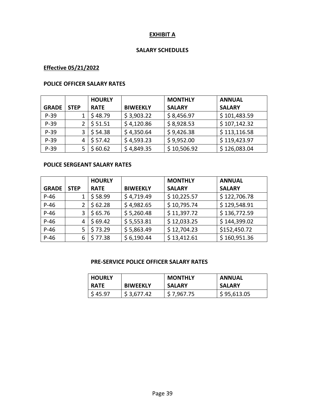#### **EXHIBIT A**

#### **SALARY SCHEDULES**

# <span id="page-42-1"></span><span id="page-42-0"></span>**Effective 05/21/2022**

#### **POLICE OFFICER SALARY RATES**

|              |             | <b>HOURLY</b> |                 | <b>MONTHLY</b> | <b>ANNUAL</b> |
|--------------|-------------|---------------|-----------------|----------------|---------------|
| <b>GRADE</b> | <b>STEP</b> | <b>RATE</b>   | <b>BIWEEKLY</b> | <b>SALARY</b>  | <b>SALARY</b> |
| $P-39$       |             | \$48.79       | \$3,903.22      | \$8,456.97     | \$101,483.59  |
| $P-39$       |             | \$51.51       | \$4,120.86      | \$8,928.53     | \$107,142.32  |
| $P-39$       |             | \$54.38       | \$4,350.64      | \$9,426.38     | \$113,116.58  |
| $P-39$       | 4           | \$57.42       | \$4,593.23      | \$9,952.00     | \$119,423.97  |
| $P-39$       |             | \$60.62       | \$4,849.35      | \$10,506.92    | \$126,083.04  |

## **POLICE SERGEANT SALARY RATES**

|              |             | <b>HOURLY</b> |                 | <b>MONTHLY</b> | <b>ANNUAL</b> |
|--------------|-------------|---------------|-----------------|----------------|---------------|
| <b>GRADE</b> | <b>STEP</b> | <b>RATE</b>   | <b>BIWEEKLY</b> | <b>SALARY</b>  | <b>SALARY</b> |
| $P-46$       |             | \$58.99       | \$4,719.49      | \$10,225.57    | \$122,706.78  |
| $P-46$       |             | \$62.28       | \$4,982.65      | \$10,795.74    | \$129,548.91  |
| $P-46$       | 3           | \$65.76       | \$5,260.48      | \$11,397.72    | \$136,772.59  |
| $P-46$       | 4           | \$69.42       | \$5,553.81      | \$12,033.25    | \$144,399.02  |
| $P-46$       | 5           | \$73.29       | \$5,863.49      | \$12,704.23    | \$152,450.72  |
| $P-46$       | 6           | \$77.38       | \$6,190.44      | \$13,412.61    | \$160,951.36  |

#### **PRE-SERVICE POLICE OFFICER SALARY RATES**

| <b>HOURLY</b> |                 | <b>MONTHLY</b> | <b>ANNUAL</b> |
|---------------|-----------------|----------------|---------------|
| <b>RATE</b>   | <b>BIWEEKLY</b> | <b>SALARY</b>  | <b>SALARY</b> |
| \$45.97       | \$3,677.42      | \$7,967.75     | \$95,613.05   |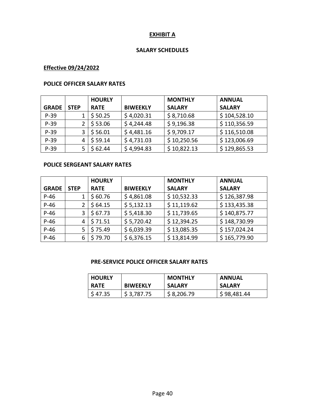#### **EXHIBIT A**

#### **SALARY SCHEDULES**

# **Effective 09/24/2022**

#### **POLICE OFFICER SALARY RATES**

|              |             | <b>HOURLY</b> |                 | <b>MONTHLY</b> | <b>ANNUAL</b> |
|--------------|-------------|---------------|-----------------|----------------|---------------|
| <b>GRADE</b> | <b>STEP</b> | <b>RATE</b>   | <b>BIWEEKLY</b> | <b>SALARY</b>  | <b>SALARY</b> |
| $P-39$       |             | \$50.25       | \$4,020.31      | \$8,710.68     | \$104,528.10  |
| $P-39$       |             | \$53.06       | \$4,244.48      | \$9,196.38     | \$110,356.59  |
| $P-39$       |             | \$56.01       | \$4,481.16      | \$9,709.17     | \$116,510.08  |
| $P-39$       | 4           | \$59.14       | \$4,731.03      | \$10,250.56    | \$123,006.69  |
| $P-39$       |             | \$62.44       | \$4,994.83      | \$10,822.13    | \$129,865.53  |

## **POLICE SERGEANT SALARY RATES**

|              |             | <b>HOURLY</b> |                 | <b>MONTHLY</b> | <b>ANNUAL</b> |
|--------------|-------------|---------------|-----------------|----------------|---------------|
| <b>GRADE</b> | <b>STEP</b> | <b>RATE</b>   | <b>BIWEEKLY</b> | <b>SALARY</b>  | <b>SALARY</b> |
| $P-46$       |             | \$60.76       | \$4,861.08      | \$10,532.33    | \$126,387.98  |
| $P-46$       |             | \$64.15       | \$5,132.13      | \$11,119.62    | \$133,435.38  |
| $P-46$       | 3           | \$67.73       | \$5,418.30      | \$11,739.65    | \$140,875.77  |
| $P-46$       | 4           | \$71.51       | \$5,720.42      | \$12,394.25    | \$148,730.99  |
| $P-46$       | 5           | \$75.49       | \$6,039.39      | \$13,085.35    | \$157,024.24  |
| $P-46$       | 6           | \$79.70       | \$6,376.15      | \$13,814.99    | \$165,779.90  |

#### **PRE-SERVICE POLICE OFFICER SALARY RATES**

| <b>HOURLY</b> |                 | <b>MONTHLY</b> | <b>ANNUAL</b> |
|---------------|-----------------|----------------|---------------|
| <b>RATE</b>   | <b>BIWEEKLY</b> | <b>SALARY</b>  | <b>SALARY</b> |
| \$47.35       | \$3,787.75      | \$8,206.79     | \$98,481.44   |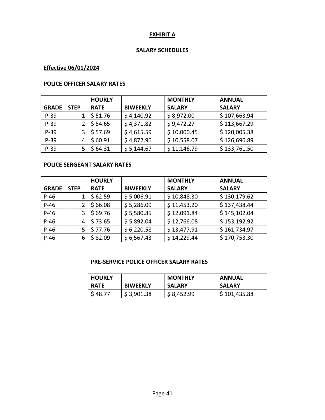## **EXHIBIT A**

## **SALARY SCHEDULES**

# **Effective 06/01/2024**

#### **POLICE OFFICER SALARY RATES**

|              |             | <b>HOURLY</b>       |                 | <b>MONTHLY</b> | <b>ANNUAL</b> |
|--------------|-------------|---------------------|-----------------|----------------|---------------|
| <b>GRADE</b> | <b>STEP</b> | <b>RATE</b>         | <b>BIWEEKLY</b> | <b>SALARY</b>  | <b>SALARY</b> |
| $P-39$       |             | \$51.76             | \$4,140.92      | \$8,972.00     | \$107,663.94  |
| $P-39$       |             | \$54.65             | \$4,371.82      | \$9,472.27     | \$113,667.29  |
| $P-39$       |             | $\frac{1}{5}$ 57.69 | \$4,615.59      | \$10,000.45    | \$120,005.38  |
| $P-39$       | 4           | \$60.91             | \$4,872.96      | \$10,558.07    | \$126,696.89  |
| $P-39$       |             | \$64.31             | \$5,144.67      | \$11,146.79    | \$133,761.50  |

## **POLICE SERGEANT SALARY RATES**

|              |             | <b>HOURLY</b> |                 | <b>MONTHLY</b> | <b>ANNUAL</b> |
|--------------|-------------|---------------|-----------------|----------------|---------------|
| <b>GRADE</b> | <b>STEP</b> | <b>RATE</b>   | <b>BIWEEKLY</b> | <b>SALARY</b>  | <b>SALARY</b> |
| $P-46$       |             | \$62.59       | \$5,006.91      | \$10,848.30    | \$130,179.62  |
| $P-46$       |             | \$66.08       | \$5,286.09      | \$11,453.20    | \$137,438.44  |
| $P-46$       | 3           | \$69.76       | \$5,580.85      | \$12,091.84    | \$145,102.04  |
| $P-46$       | 4           | \$73.65       | \$5,892.04      | \$12,766.08    | \$153,192.92  |
| $P-46$       | 5           | \$77.76       | \$6,220.58      | \$13,477.91    | \$161,734.97  |
| $P-46$       | 6           | \$82.09       | \$6,567.43      | \$14,229.44    | \$170,753.30  |

#### **PRE-SERVICE POLICE OFFICER SALARY RATES**

| <b>HOURLY</b> |                 | <b>MONTHLY</b> | <b>ANNUAL</b> |
|---------------|-----------------|----------------|---------------|
| <b>RATE</b>   | <b>BIWEEKLY</b> | <b>SALARY</b>  | <b>SALARY</b> |
| \$48.77       | \$3,901.38      | \$8,452.99     | \$101,435.88  |